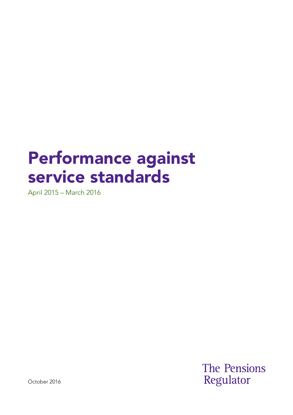# Performance against service standards

April 2015 – March 2016

**The Pensions** Regulator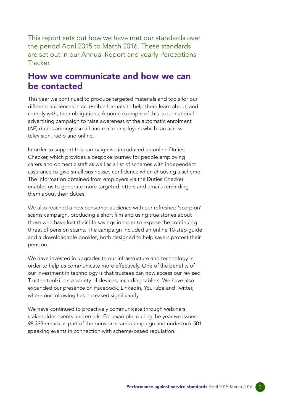This report sets out how we have met our standards over the period April 2015 to March 2016. These standards are set out in our Annual Report and yearly Perceptions **Tracker** 

#### How we communicate and how we can be contacted

This year we continued to produce targeted materials and tools for our different audiences in accessible formats to help them learn about, and comply with, their obligations. A prime example of this is our national advertising campaign to raise awareness of the automatic enrolment (AE) duties amongst small and micro employers which ran across television, radio and online.

In order to support this campaign we introduced an online Duties Checker, which provides a bespoke journey for people employing carers and domestic staff as well as a list of schemes with independent assurance to give small businesses confdence when choosing a scheme. The information obtained from employers via the Duties Checker enables us to generate more targeted letters and emails reminding them about their duties.

We also reached a new consumer audience with our refreshed 'scorpion' scams campaign, producing a short film and using true stories about those who have lost their life savings in order to expose the continuing threat of pension scams. The campaign included an online 10-step guide and a downloadable booklet, both designed to help savers protect their pension.

We have invested in upgrades to our infrastructure and technology in order to help us communicate more effectively. One of the benefits of our investment in technology is that trustees can now access our revised Trustee toolkit on a variety of devices, including tablets. We have also expanded our presence on Facebook, LinkedIn, YouTube and Twitter, where our following has increased significantly.

We have continued to proactively communicate through webinars, stakeholder events and emails. For example, during the year we issued 98,333 emails as part of the pension scams campaign and undertook 501 speaking events in connection with scheme-based regulation.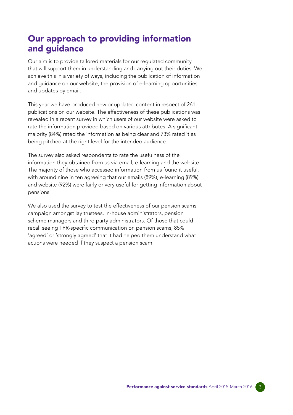## Our approach to providing information and guidance

Our aim is to provide tailored materials for our regulated community that will support them in understanding and carrying out their duties. We achieve this in a variety of ways, including the publication of information and guidance on our website, the provision of e-learning opportunities and updates by email.

This year we have produced new or updated content in respect of 261 publications on our website. The effectiveness of these publications was revealed in a recent survey in which users of our website were asked to rate the information provided based on various attributes. A signifcant majority (84%) rated the information as being clear and 73% rated it as being pitched at the right level for the intended audience.

The survey also asked respondents to rate the usefulness of the information they obtained from us via email, e-learning and the website. The majority of those who accessed information from us found it useful, with around nine in ten agreeing that our emails (89%), e-learning (89%) and website (92%) were fairly or very useful for getting information about pensions.

We also used the survey to test the effectiveness of our pension scams campaign amongst lay trustees, in-house administrators, pension scheme managers and third party administrators. Of those that could recall seeing TPR-specific communication on pension scams, 85% 'agreed' or 'strongly agreed' that it had helped them understand what actions were needed if they suspect a pension scam.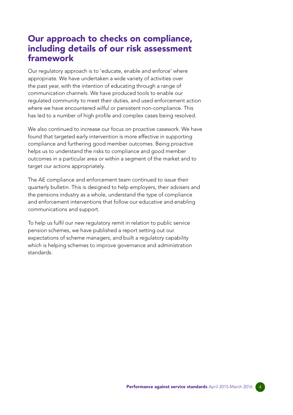### Our approach to checks on compliance, including details of our risk assessment framework

Our regulatory approach is to 'educate, enable and enforce' where appropriate. We have undertaken a wide variety of activities over the past year, with the intention of educating through a range of communication channels. We have produced tools to enable our regulated community to meet their duties, and used enforcement action where we have encountered wilful or persistent non-compliance. This has led to a number of high profile and complex cases being resolved.

We also continued to increase our focus on proactive casework. We have found that targeted early intervention is more effective in supporting compliance and furthering good member outcomes. Being proactive helps us to understand the risks to compliance and good member outcomes in a particular area or within a segment of the market and to target our actions appropriately.

The AE compliance and enforcement team continued to issue their quarterly bulletin. This is designed to help employers, their advisers and the pensions industry as a whole, understand the type of compliance and enforcement interventions that follow our educative and enabling communications and support.

To help us fulfl our new regulatory remit in relation to public service pension schemes, we have published a report setting out our expectations of scheme managers, and built a regulatory capability which is helping schemes to improve governance and administration standards.

> Performance against service standards April 2015-March 2016 4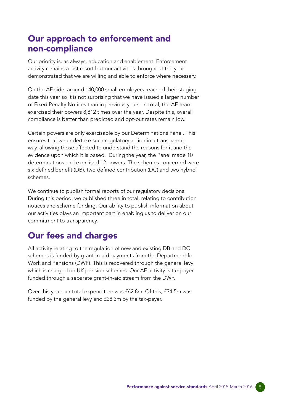### Our approach to enforcement and non-compliance

Our priority is, as always, education and enablement. Enforcement activity remains a last resort but our activities throughout the year demonstrated that we are willing and able to enforce where necessary.

On the AE side, around 140,000 small employers reached their staging date this year so it is not surprising that we have issued a larger number of Fixed Penalty Notices than in previous years. In total, the AE team exercised their powers 8,812 times over the year. Despite this, overall compliance is better than predicted and opt-out rates remain low.

Certain powers are only exercisable by our Determinations Panel. This ensures that we undertake such regulatory action in a transparent way, allowing those affected to understand the reasons for it and the evidence upon which it is based. During the year, the Panel made 10 determinations and exercised 12 powers. The schemes concerned were six defined benefit (DB), two defined contribution (DC) and two hybrid schemes.

We continue to publish formal reports of our regulatory decisions. During this period, we published three in total, relating to contribution notices and scheme funding. Our ability to publish information about our activities plays an important part in enabling us to deliver on our commitment to transparency.

# Our fees and charges

All activity relating to the regulation of new and existing DB and DC schemes is funded by grant-in-aid payments from the Department for Work and Pensions (DWP). This is recovered through the general levy which is charged on UK pension schemes. Our AE activity is tax payer funded through a separate grant-in-aid stream from the DWP.

Over this year our total expenditure was £62.8m. Of this, £34.5m was funded by the general levy and £28.3m by the tax-payer.